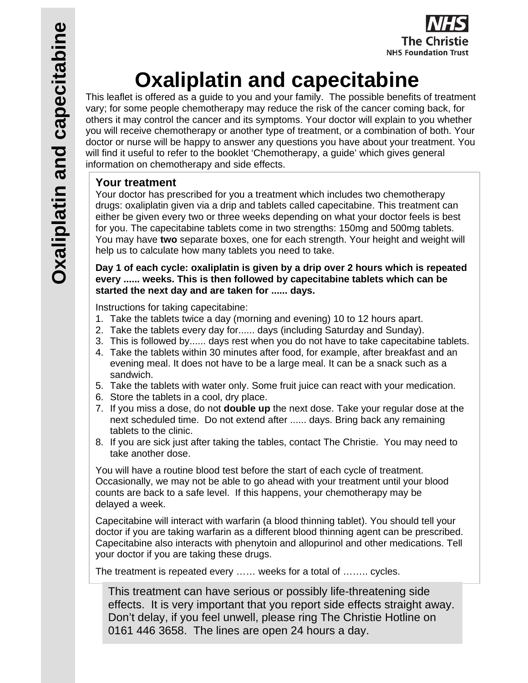

# **Oxaliplatin and capecitabine**

This leaflet is offered as a guide to you and your family. The possible benefits of treatment vary; for some people chemotherapy may reduce the risk of the cancer coming back, for others it may control the cancer and its symptoms. Your doctor will explain to you whether you will receive chemotherapy or another type of treatment, or a combination of both. Your doctor or nurse will be happy to answer any questions you have about your treatment. You will find it useful to refer to the booklet 'Chemotherapy, a guide' which gives general information on chemotherapy and side effects.

### **Your treatment**

Your doctor has prescribed for you a treatment which includes two chemotherapy drugs: oxaliplatin given via a drip and tablets called capecitabine. This treatment can either be given every two or three weeks depending on what your doctor feels is best for you. The capecitabine tablets come in two strengths: 150mg and 500mg tablets. You may have **two** separate boxes, one for each strength. Your height and weight will help us to calculate how many tablets you need to take.

**Day 1 of each cycle: oxaliplatin is given by a drip over 2 hours which is repeated every ...... weeks. This is then followed by capecitabine tablets which can be started the next day and are taken for ...... days.** 

Instructions for taking capecitabine:

- 1. Take the tablets twice a day (morning and evening) 10 to 12 hours apart.
- 2. Take the tablets every day for...... days (including Saturday and Sunday).
- 3. This is followed by...... days rest when you do not have to take capecitabine tablets.
- 4. Take the tablets within 30 minutes after food, for example, after breakfast and an evening meal. It does not have to be a large meal. It can be a snack such as a sandwich.
- 5. Take the tablets with water only. Some fruit juice can react with your medication.
- 6. Store the tablets in a cool, dry place.
- 7. If you miss a dose, do not **double up** the next dose. Take your regular dose at the next scheduled time. Do not extend after ...... days. Bring back any remaining tablets to the clinic.
- 8. If you are sick just after taking the tables, contact The Christie. You may need to take another dose.

You will have a routine blood test before the start of each cycle of treatment. Occasionally, we may not be able to go ahead with your treatment until your blood counts are back to a safe level. If this happens, your chemotherapy may be delayed a week.

Capecitabine will interact with warfarin (a blood thinning tablet). You should tell your doctor if you are taking warfarin as a different blood thinning agent can be prescribed. Capecitabine also interacts with phenytoin and allopurinol and other medications. Tell your doctor if you are taking these drugs.

The treatment is repeated every …… weeks for a total of …….. cycles.

This treatment can have serious or possibly life-threatening side effects. It is very important that you report side effects straight away. Don't delay, if you feel unwell, please ring The Christie Hotline on 0161 446 3658. The lines are open 24 hours a day.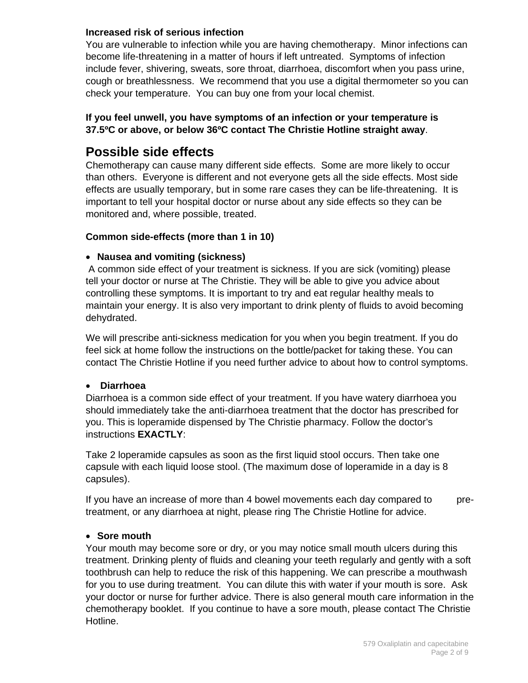#### **Increased risk of serious infection**

You are vulnerable to infection while you are having chemotherapy. Minor infections can become life-threatening in a matter of hours if left untreated. Symptoms of infection include fever, shivering, sweats, sore throat, diarrhoea, discomfort when you pass urine, cough or breathlessness. We recommend that you use a digital thermometer so you can check your temperature. You can buy one from your local chemist.

#### **If you feel unwell, you have symptoms of an infection or your temperature is 37.5ºC or above, or below 36ºC contact The Christie Hotline straight away**.

## **Possible side effects**

Chemotherapy can cause many different side effects. Some are more likely to occur than others. Everyone is different and not everyone gets all the side effects. Most side effects are usually temporary, but in some rare cases they can be life-threatening. It is important to tell your hospital doctor or nurse about any side effects so they can be monitored and, where possible, treated.

#### **Common side-effects (more than 1 in 10)**

#### **Nausea and vomiting (sickness)**

 A common side effect of your treatment is sickness. If you are sick (vomiting) please tell your doctor or nurse at The Christie. They will be able to give you advice about controlling these symptoms. It is important to try and eat regular healthy meals to maintain your energy. It is also very important to drink plenty of fluids to avoid becoming dehydrated.

We will prescribe anti-sickness medication for you when you begin treatment. If you do feel sick at home follow the instructions on the bottle/packet for taking these. You can contact The Christie Hotline if you need further advice to about how to control symptoms.

#### **Diarrhoea**

Diarrhoea is a common side effect of your treatment. If you have watery diarrhoea you should immediately take the anti-diarrhoea treatment that the doctor has prescribed for you. This is loperamide dispensed by The Christie pharmacy. Follow the doctor's instructions **EXACTLY**:

Take 2 loperamide capsules as soon as the first liquid stool occurs. Then take one capsule with each liquid loose stool. (The maximum dose of loperamide in a day is 8 capsules).

If you have an increase of more than 4 bowel movements each day compared to pretreatment, or any diarrhoea at night, please ring The Christie Hotline for advice.

#### **Sore mouth**

Your mouth may become sore or dry, or you may notice small mouth ulcers during this treatment. Drinking plenty of fluids and cleaning your teeth regularly and gently with a soft toothbrush can help to reduce the risk of this happening. We can prescribe a mouthwash for you to use during treatment. You can dilute this with water if your mouth is sore. Ask your doctor or nurse for further advice. There is also general mouth care information in the chemotherapy booklet. If you continue to have a sore mouth, please contact The Christie Hotline.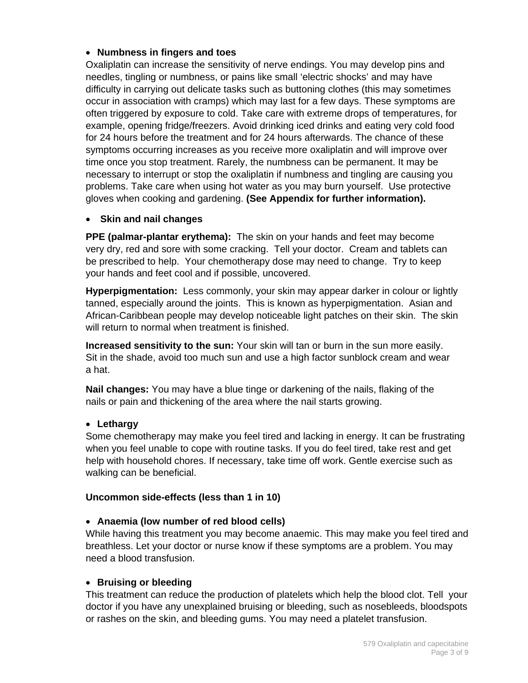#### **Numbness in fingers and toes**

Oxaliplatin can increase the sensitivity of nerve endings. You may develop pins and needles, tingling or numbness, or pains like small 'electric shocks' and may have difficulty in carrying out delicate tasks such as buttoning clothes (this may sometimes occur in association with cramps) which may last for a few days. These symptoms are often triggered by exposure to cold. Take care with extreme drops of temperatures, for example, opening fridge/freezers. Avoid drinking iced drinks and eating very cold food for 24 hours before the treatment and for 24 hours afterwards. The chance of these symptoms occurring increases as you receive more oxaliplatin and will improve over time once you stop treatment. Rarely, the numbness can be permanent. It may be necessary to interrupt or stop the oxaliplatin if numbness and tingling are causing you problems. Take care when using hot water as you may burn yourself. Use protective gloves when cooking and gardening. **(See Appendix for further information).** 

#### **Skin and nail changes**

**PPE (palmar-plantar erythema):** The skin on your hands and feet may become very dry, red and sore with some cracking. Tell your doctor. Cream and tablets can be prescribed to help. Your chemotherapy dose may need to change. Try to keep your hands and feet cool and if possible, uncovered.

**Hyperpigmentation:** Less commonly, your skin may appear darker in colour or lightly tanned, especially around the joints. This is known as hyperpigmentation. Asian and African-Caribbean people may develop noticeable light patches on their skin. The skin will return to normal when treatment is finished.

**Increased sensitivity to the sun:** Your skin will tan or burn in the sun more easily. Sit in the shade, avoid too much sun and use a high factor sunblock cream and wear a hat.

**Nail changes:** You may have a blue tinge or darkening of the nails, flaking of the nails or pain and thickening of the area where the nail starts growing.

#### **Lethargy**

Some chemotherapy may make you feel tired and lacking in energy. It can be frustrating when you feel unable to cope with routine tasks. If you do feel tired, take rest and get help with household chores. If necessary, take time off work. Gentle exercise such as walking can be beneficial.

#### **Uncommon side-effects (less than 1 in 10)**

#### **Anaemia (low number of red blood cells)**

While having this treatment you may become anaemic. This may make you feel tired and breathless. Let your doctor or nurse know if these symptoms are a problem. You may need a blood transfusion.

#### **Bruising or bleeding**

This treatment can reduce the production of platelets which help the blood clot. Tell your doctor if you have any unexplained bruising or bleeding, such as nosebleeds, bloodspots or rashes on the skin, and bleeding gums. You may need a platelet transfusion.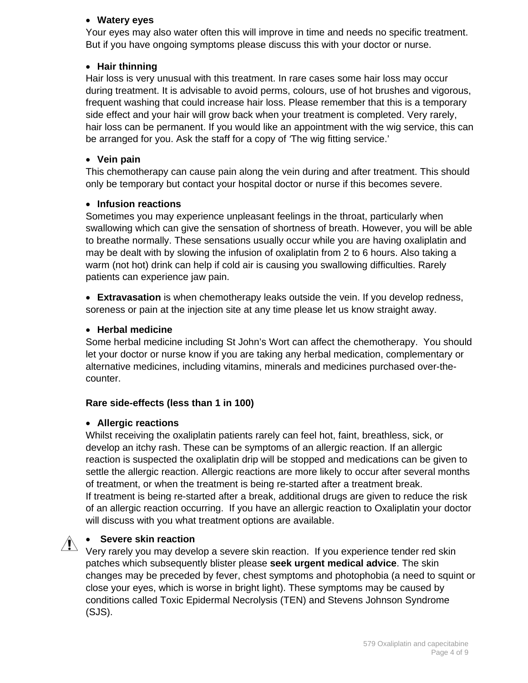#### **Watery eyes**

Your eyes may also water often this will improve in time and needs no specific treatment. But if you have ongoing symptoms please discuss this with your doctor or nurse.

#### **Hair thinning**

Hair loss is very unusual with this treatment. In rare cases some hair loss may occur during treatment. It is advisable to avoid perms, colours, use of hot brushes and vigorous, frequent washing that could increase hair loss. Please remember that this is a temporary side effect and your hair will grow back when your treatment is completed. Very rarely, hair loss can be permanent. If you would like an appointment with the wig service, this can be arranged for you. Ask the staff for a copy of *'*The wig fitting service.'

#### **Vein pain**

This chemotherapy can cause pain along the vein during and after treatment. This should only be temporary but contact your hospital doctor or nurse if this becomes severe.

#### **Infusion reactions**

Sometimes you may experience unpleasant feelings in the throat, particularly when swallowing which can give the sensation of shortness of breath. However, you will be able to breathe normally. These sensations usually occur while you are having oxaliplatin and may be dealt with by slowing the infusion of oxaliplatin from 2 to 6 hours. Also taking a warm (not hot) drink can help if cold air is causing you swallowing difficulties. Rarely patients can experience jaw pain.

 **Extravasation** is when chemotherapy leaks outside the vein. If you develop redness, soreness or pain at the injection site at any time please let us know straight away.

#### **Herbal medicine**

Some herbal medicine including St John's Wort can affect the chemotherapy. You should let your doctor or nurse know if you are taking any herbal medication, complementary or alternative medicines, including vitamins, minerals and medicines purchased over-thecounter.

#### **Rare side-effects (less than 1 in 100)**

#### **Allergic reactions**

Whilst receiving the oxaliplatin patients rarely can feel hot, faint, breathless, sick, or develop an itchy rash. These can be symptoms of an allergic reaction. If an allergic reaction is suspected the oxaliplatin drip will be stopped and medications can be given to settle the allergic reaction. Allergic reactions are more likely to occur after several months of treatment, or when the treatment is being re-started after a treatment break. If treatment is being re-started after a break, additional drugs are given to reduce the risk of an allergic reaction occurring. If you have an allergic reaction to Oxaliplatin your doctor will discuss with you what treatment options are available.

#### **Severe skin reaction**

Very rarely you may develop a severe skin reaction. If you experience tender red skin patches which subsequently blister please **seek urgent medical advice**. The skin changes may be preceded by fever, chest symptoms and photophobia (a need to squint or close your eyes, which is worse in bright light). These symptoms may be caused by conditions called Toxic Epidermal Necrolysis (TEN) and Stevens Johnson Syndrome (SJS).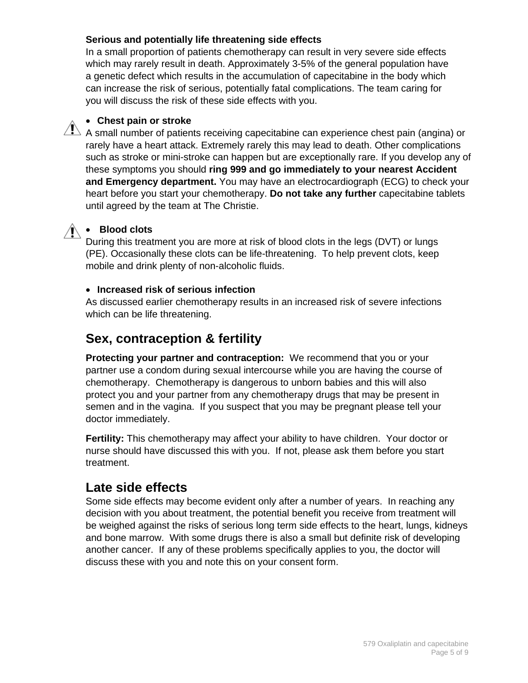#### **Serious and potentially life threatening side effects**

In a small proportion of patients chemotherapy can result in very severe side effects which may rarely result in death. Approximately 3-5% of the general population have a genetic defect which results in the accumulation of capecitabine in the body which can increase the risk of serious, potentially fatal complications. The team caring for you will discuss the risk of these side effects with you.

#### **Chest pain or stroke**

 $\sqrt{N}$  A small number of patients receiving capecitabine can experience chest pain (angina) or rarely have a heart attack. Extremely rarely this may lead to death. Other complications such as stroke or mini-stroke can happen but are exceptionally rare. If you develop any of these symptoms you should **ring 999 and go immediately to your nearest Accident and Emergency department.** You may have an electrocardiograph (ECG) to check your heart before you start your chemotherapy. **Do not take any further** capecitabine tablets until agreed by the team at The Christie.

# **Blood clots**

During this treatment you are more at risk of blood clots in the legs (DVT) or lungs (PE). Occasionally these clots can be life-threatening. To help prevent clots, keep mobile and drink plenty of non-alcoholic fluids.

#### **Increased risk of serious infection**

As discussed earlier chemotherapy results in an increased risk of severe infections which can be life threatening.

## **Sex, contraception & fertility**

**Protecting your partner and contraception:** We recommend that you or your partner use a condom during sexual intercourse while you are having the course of chemotherapy. Chemotherapy is dangerous to unborn babies and this will also protect you and your partner from any chemotherapy drugs that may be present in semen and in the vagina. If you suspect that you may be pregnant please tell your doctor immediately.

**Fertility:** This chemotherapy may affect your ability to have children. Your doctor or nurse should have discussed this with you. If not, please ask them before you start treatment.

## **Late side effects**

Some side effects may become evident only after a number of years. In reaching any decision with you about treatment, the potential benefit you receive from treatment will be weighed against the risks of serious long term side effects to the heart, lungs, kidneys and bone marrow. With some drugs there is also a small but definite risk of developing another cancer. If any of these problems specifically applies to you, the doctor will discuss these with you and note this on your consent form.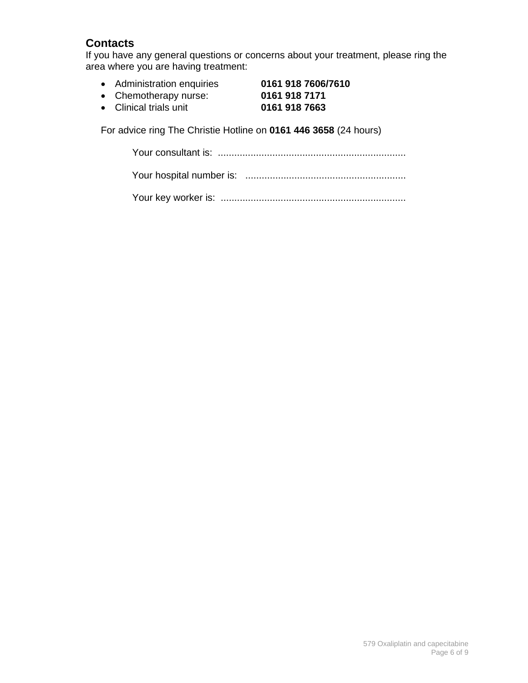## **Contacts**

If you have any general questions or concerns about your treatment, please ring the area where you are having treatment:

- Administration enquiries **0161 918 7606/7610**
- Chemotherapy nurse: **0161 918 7171**
- Clinical trials unit **0161 918 7663**

For advice ring The Christie Hotline on **0161 446 3658** (24 hours)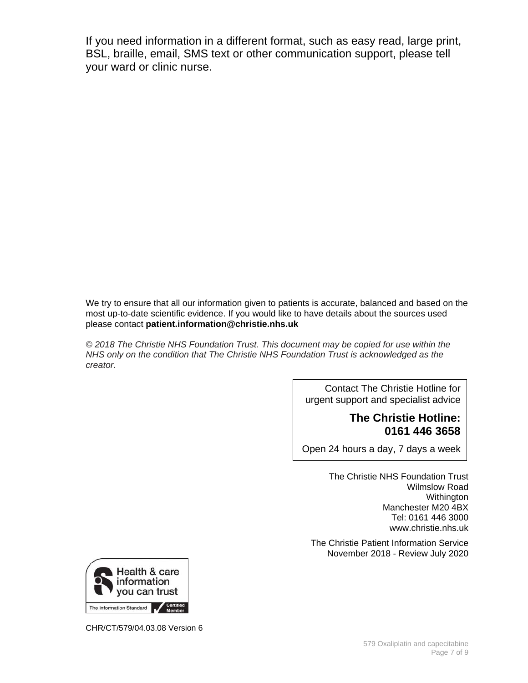If you need information in a different format, such as easy read, large print, BSL, braille, email, SMS text or other communication support, please tell your ward or clinic nurse.

We try to ensure that all our information given to patients is accurate, balanced and based on the most up-to-date scientific evidence. If you would like to have details about the sources used please contact **patient.information@christie.nhs.uk** 

*© 2018 The Christie NHS Foundation Trust. This document may be copied for use within the NHS only on the condition that The Christie NHS Foundation Trust is acknowledged as the creator.* 

> Contact The Christie Hotline for urgent support and specialist advice

#### **The Christie Hotline: 0161 446 3658**

Open 24 hours a day, 7 days a week

The Christie NHS Foundation Trust Wilmslow Road Withington Manchester M20 4BX Tel: 0161 446 3000 www.christie.nhs.uk

The Christie Patient Information Service November 2018 - Review July 2020



CHR/CT/579/04.03.08 Version 6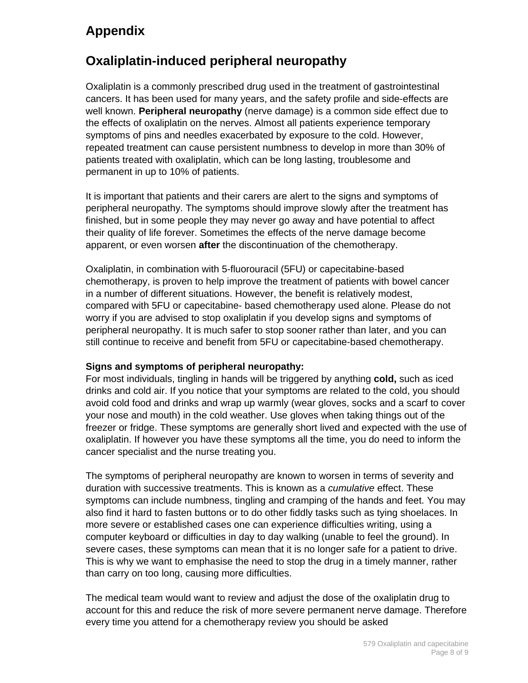# **Appendix**

# **Oxaliplatin-induced peripheral neuropathy**

Oxaliplatin is a commonly prescribed drug used in the treatment of gastrointestinal cancers. It has been used for many years, and the safety profile and side-effects are well known. **Peripheral neuropathy** (nerve damage) is a common side effect due to the effects of oxaliplatin on the nerves. Almost all patients experience temporary symptoms of pins and needles exacerbated by exposure to the cold. However, repeated treatment can cause persistent numbness to develop in more than 30% of patients treated with oxaliplatin, which can be long lasting, troublesome and permanent in up to 10% of patients.

It is important that patients and their carers are alert to the signs and symptoms of peripheral neuropathy. The symptoms should improve slowly after the treatment has finished, but in some people they may never go away and have potential to affect their quality of life forever. Sometimes the effects of the nerve damage become apparent, or even worsen **after** the discontinuation of the chemotherapy.

Oxaliplatin, in combination with 5-fluorouracil (5FU) or capecitabine-based chemotherapy, is proven to help improve the treatment of patients with bowel cancer in a number of different situations. However, the benefit is relatively modest, compared with 5FU or capecitabine- based chemotherapy used alone. Please do not worry if you are advised to stop oxaliplatin if you develop signs and symptoms of peripheral neuropathy. It is much safer to stop sooner rather than later, and you can still continue to receive and benefit from 5FU or capecitabine-based chemotherapy.

#### **Signs and symptoms of peripheral neuropathy:**

For most individuals, tingling in hands will be triggered by anything **cold,** such as iced drinks and cold air. If you notice that your symptoms are related to the cold, you should avoid cold food and drinks and wrap up warmly (wear gloves, socks and a scarf to cover your nose and mouth) in the cold weather. Use gloves when taking things out of the freezer or fridge. These symptoms are generally short lived and expected with the use of oxaliplatin. If however you have these symptoms all the time, you do need to inform the cancer specialist and the nurse treating you.

The symptoms of peripheral neuropathy are known to worsen in terms of severity and duration with successive treatments. This is known as a *cumulative* effect. These symptoms can include numbness, tingling and cramping of the hands and feet. You may also find it hard to fasten buttons or to do other fiddly tasks such as tying shoelaces. In more severe or established cases one can experience difficulties writing, using a computer keyboard or difficulties in day to day walking (unable to feel the ground). In severe cases, these symptoms can mean that it is no longer safe for a patient to drive. This is why we want to emphasise the need to stop the drug in a timely manner, rather than carry on too long, causing more difficulties.

The medical team would want to review and adjust the dose of the oxaliplatin drug to account for this and reduce the risk of more severe permanent nerve damage. Therefore every time you attend for a chemotherapy review you should be asked